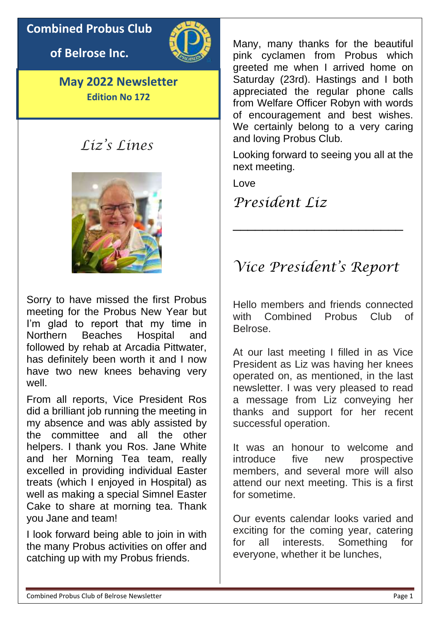# **Combined Probus Club**

**of Belrose Inc.**



**May 2022 Newsletter Edition No 172**

# *Liz's Lines*



Sorry to have missed the first Probus meeting for the Probus New Year but I'm glad to report that my time in Northern Beaches Hospital and followed by rehab at Arcadia Pittwater, has definitely been worth it and I now have two new knees behaving very well.

From all reports, Vice President Ros did a brilliant job running the meeting in my absence and was ably assisted by the committee and all the other helpers. I thank you Ros. Jane White and her Morning Tea team, really excelled in providing individual Easter treats (which I enjoyed in Hospital) as well as making a special Simnel Easter Cake to share at morning tea. Thank you Jane and team!

I look forward being able to join in with the many Probus activities on offer and catching up with my Probus friends.

Many, many thanks for the beautiful pink cyclamen from Probus which greeted me when I arrived home on Saturday (23rd). Hastings and I both appreciated the regular phone calls from Welfare Officer Robyn with words of encouragement and best wishes. We certainly belong to a very caring and loving Probus Club.

Looking forward to seeing you all at the next meeting.

Love

# *President Liz*

# *Vice President's Report*

\_\_\_\_\_\_\_\_\_\_\_\_\_\_\_\_\_\_\_\_\_\_\_

Hello members and friends connected with Combined Probus Club of Belrose.

At our last meeting I filled in as Vice President as Liz was having her knees operated on, as mentioned, in the last newsletter. I was very pleased to read a message from Liz conveying her thanks and support for her recent successful operation.

It was an honour to welcome and introduce five new prospective members, and several more will also attend our next meeting. This is a first for sometime.

Our events calendar looks varied and exciting for the coming year, catering for all interests. Something for everyone, whether it be lunches,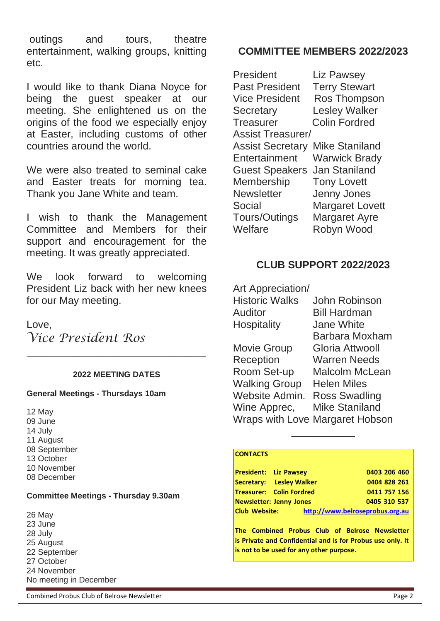outings and tours, theatre entertainment, walking groups, knitting etc.

I would like to thank Diana Noyce for being the guest speaker at our meeting. She enlightened us on the origins of the food we especially enjoy at Easter, including customs of other countries around the world.

We were also treated to seminal cake and Easter treats for morning tea. Thank you Jane White and team.

I wish to thank the Management Committee and Members for their support and encouragement for the meeting. It was greatly appreciated.

We look forward to welcoming President Liz back with her new knees for our May meeting.

Love,

*Vice President Ros*

### **2022 MEETING DATES**

**\_\_\_\_\_\_\_\_\_\_\_\_\_\_\_\_\_\_\_\_\_\_\_\_\_\_\_\_\_\_\_**

#### **General Meetings - Thursdays 10am**

12 May 09 June 14 July 11 August 08 September 13 October 10 November 08 December

#### **Committee Meetings - Thursday 9.30am**

26 May 23 June 28 July 25 August 22 September 27 October 24 November No meeting in December

### **COMMITTEE MEMBERS 2022/2023**

| President                | <b>Liz Pawsey</b>      |
|--------------------------|------------------------|
| <b>Past President</b>    | <b>Terry Stewart</b>   |
| <b>Vice President</b>    | <b>Ros Thompson</b>    |
| <b>Secretary</b>         | <b>Lesley Walker</b>   |
| <b>Treasurer</b>         | <b>Colin Fordred</b>   |
| <b>Assist Treasurer/</b> |                        |
| <b>Assist Secretary</b>  | <b>Mike Staniland</b>  |
| Entertainment            | <b>Warwick Brady</b>   |
| <b>Guest Speakers</b>    | <b>Jan Staniland</b>   |
| <b>Membership</b>        | <b>Tony Lovett</b>     |
| <b>Newsletter</b>        | Jenny Jones            |
| Social                   | <b>Margaret Lovett</b> |
| Tours/Outings            | <b>Margaret Ayre</b>   |
| Welfare                  | Robyn Wood             |

### **CLUB SUPPORT 2022/2023**

| Art Appreciation/     |                                 |
|-----------------------|---------------------------------|
| <b>Historic Walks</b> | John Robinson                   |
| Auditor               | <b>Bill Hardman</b>             |
| Hospitality           | <b>Jane White</b>               |
|                       | Barbara Moxham                  |
| <b>Movie Group</b>    | Gloria Attwooll                 |
| Reception             | <b>Warren Needs</b>             |
| Room Set-up           | <b>Malcolm McLean</b>           |
| <b>Walking Group</b>  | Helen Miles                     |
| Website Admin.        | <b>Ross Swadling</b>            |
| Wine Apprec,          | <b>Mike Staniland</b>           |
|                       | Wraps with Love Margaret Hobson |

#### **CONTACTS**

| <b>President: Liz Pawsey</b> |                                 | 0403 206 460                    |
|------------------------------|---------------------------------|---------------------------------|
|                              | Secretary: Lesley Walker        | 0404 828 261                    |
|                              | <b>Treasurer: Colin Fordred</b> | 0411 757 156                    |
|                              | <b>Newsletter: Jenny Jones</b>  | 0405 310 537                    |
| <b>Club Website:</b>         |                                 | http://www.belroseprobus.org.au |

\_\_\_\_\_\_\_\_\_\_\_

**The Combined Probus Club of Belrose Newsletter is Private and Confidential and is for Probus use only. It is not to be used for any other purpose.**

Combined Probus Club of Belrose Newsletter **Page 2** and the extent of the extent of the Page 2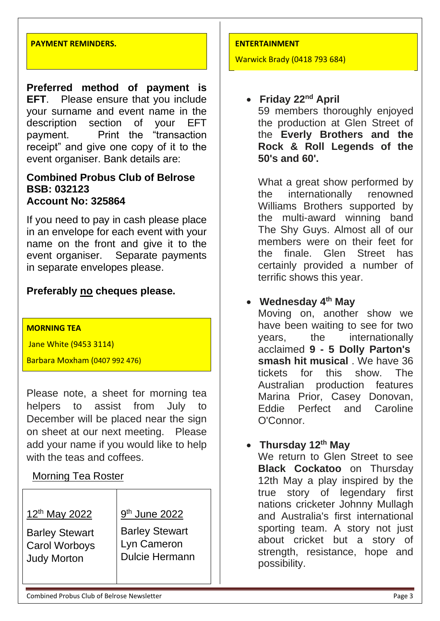#### **PAYMENT REMINDERS.**

**Preferred method of payment is EFT**. Please ensure that you include your surname and event name in the description section of your EFT payment. Print the "transaction receipt" and give one copy of it to the event organiser. Bank details are:

### **Combined Probus Club of Belrose BSB: 032123 Account No: 325864**

If you need to pay in cash please place in an envelope for each event with your name on the front and give it to the event organiser. Separate payments in separate envelopes please.

### **Preferably no cheques please.**

### **MORNING TEA**

Jane White (9453 3114)

Barbara Moxham (0407 992 476)

Please note, a sheet for morning tea helpers to assist from July to December will be placed near the sign on sheet at our next meeting. Please add your name if you would like to help with the teas and coffees.

### Morning Tea Roster

| 12 <sup>th</sup> May 2022 | 9 <sup>th</sup> June 2022 |
|---------------------------|---------------------------|
| <b>Barley Stewart</b>     | <b>Barley Stewart</b>     |
| <b>Carol Worboys</b>      | Lyn Cameron               |
| <b>Judy Morton</b>        | <b>Dulcie Hermann</b>     |

#### **ENTERTAINMENT**

Warwick Brady (0418 793 684)

# • **Friday 22nd April**

59 members thoroughly enjoyed the production at Glen Street of the **Everly Brothers and the Rock & Roll Legends of the 50's and 60'.**

What a great show performed by the internationally renowned Williams Brothers supported by the multi-award winning band The Shy Guys. Almost all of our members were on their feet for the finale. Glen Street has certainly provided a number of terrific shows this year.

### • **Wednesday 4 th May**

Moving on, another show we have been waiting to see for two years, the internationally acclaimed **9 - 5 Dolly Parton's smash hit musical** . We have 36 tickets for this show. The Australian production features Marina Prior, Casey Donovan, Eddie Perfect and Caroline O'Connor.

# • **Thursday 12th May**

We return to Glen Street to see **Black Cockatoo** on Thursday 12th May a play inspired by the true story of legendary first nations cricketer Johnny Mullagh and Australia's first international sporting team. A story not just about cricket but a story of strength, resistance, hope and possibility.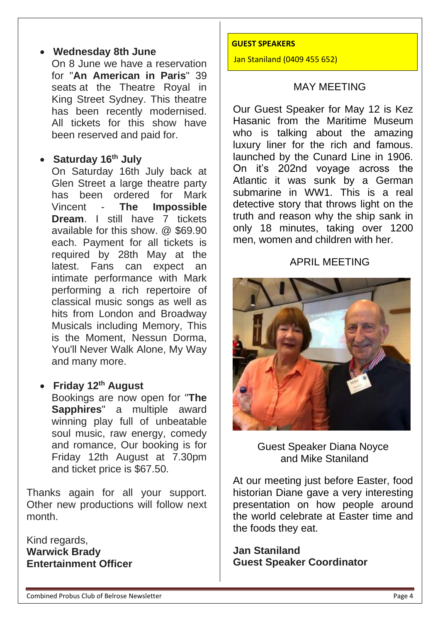## • **Wednesday 8th June**

On 8 June we have a reservation for "**An American in Paris**" 39 seats at the Theatre Royal in King Street Sydney. This theatre has been recently modernised. All tickets for this show have been reserved and paid for.

## • **Saturday 16th July**

On Saturday 16th July back at Glen Street a large theatre party has been ordered for Mark Vincent - **The Impossible Dream**. I still have 7 tickets available for this show. @ \$69.90 each. Payment for all tickets is required by 28th May at the latest. Fans can expect an intimate performance with Mark performing a rich repertoire of classical music songs as well as hits from London and Broadway Musicals including Memory, This is the Moment, Nessun Dorma, You'll Never Walk Alone, My Way and many more.

## • **Friday 12th August**

Bookings are now open for "**The Sapphires**" a multiple award winning play full of unbeatable soul music, raw energy, comedy and romance, Our booking is for Friday 12th August at 7.30pm and ticket price is \$67.50.

Thanks again for all your support. Other new productions will follow next month.

Kind regards, **Warwick Brady Entertainment Officer**

#### **GUEST SPEAKERS**

Jan Staniland (0409 455 652)

### MAY MEETING

Our Guest Speaker for May 12 is Kez Hasanic from the Maritime Museum who is talking about the amazing luxury liner for the rich and famous. launched by the Cunard Line in 1906. On it's 202nd voyage across the Atlantic it was sunk by a German submarine in WW1. This is a real detective story that throws light on the truth and reason why the ship sank in only 18 minutes, taking over 1200 men, women and children with her.

### APRIL MEETING



Guest Speaker Diana Noyce and Mike Staniland

At our meeting just before Easter, food historian Diane gave a very interesting presentation on how people around the world celebrate at Easter time and the foods they eat.

**Jan Staniland Guest Speaker Coordinator**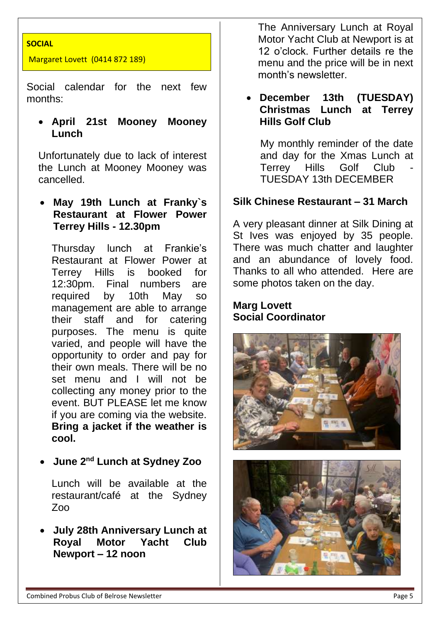### **SOCIAL**

Margaret Lovett (0414 872 189)

Social calendar for the next few months:

### • **April 21st Mooney Mooney Lunch**

Unfortunately due to lack of interest the Lunch at Mooney Mooney was cancelled.

• **May 19th Lunch at Franky`s Restaurant at Flower Power Terrey Hills - 12.30pm**

Thursday lunch at Frankie's Restaurant at Flower Power at Terrey Hills is booked for 12:30pm. Final numbers are required by 10th May so management are able to arrange their staff and for catering purposes. The menu is quite varied, and people will have the opportunity to order and pay for their own meals. There will be no set menu and I will not be collecting any money prior to the event. BUT PLEASE let me know if you are coming via the website. **Bring a jacket if the weather is cool.**

• **June 2nd Lunch at Sydney Zoo**

Lunch will be available at the restaurant/café at the Sydney Zoo

• **July 28th Anniversary Lunch at Royal Motor Yacht Club Newport – 12 noon**

The Anniversary Lunch at Royal Motor Yacht Club at Newport is at 12 o'clock. Further details re the menu and the price will be in next month's newsletter.

### • **December 13th (TUESDAY) Christmas Lunch at Terrey Hills Golf Club**

My monthly reminder of the date and day for the Xmas Lunch at Terrey Hills Golf Club TUESDAY 13th DECEMBER

### **Silk Chinese Restaurant – 31 March**

A very pleasant dinner at Silk Dining at St Ives was enjoyed by 35 people. There was much chatter and laughter and an abundance of lovely food. Thanks to all who attended. Here are some photos taken on the day.

### **Marg Lovett Social Coordinator**



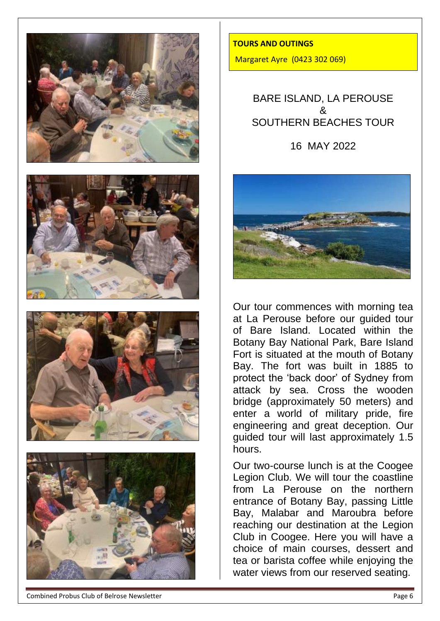







**TOURS AND OUTINGS**  Margaret Ayre (0423 302 069)

> BARE ISLAND, LA PEROUSE & SOUTHERN BEACHES TOUR

> > 16 MAY 2022



Our tour commences with morning tea at La Perouse before our guided tour of Bare Island. Located within the Botany Bay National Park, Bare Island Fort is situated at the mouth of Botany Bay. The fort was built in 1885 to protect the 'back door' of Sydney from attack by sea. Cross the wooden bridge (approximately 50 meters) and enter a world of military pride, fire engineering and great deception. Our guided tour will last approximately 1.5 hours.

Our two-course lunch is at the Coogee Legion Club. We will tour the coastline from La Perouse on the northern entrance of Botany Bay, passing Little Bay, Malabar and Maroubra before reaching our destination at the Legion Club in Coogee. Here you will have a choice of main courses, dessert and tea or barista coffee while enjoying the water views from our reserved seating.

Combined Probus Club of Belrose Newsletter **Page 6** and the extent of the extent of the Page 6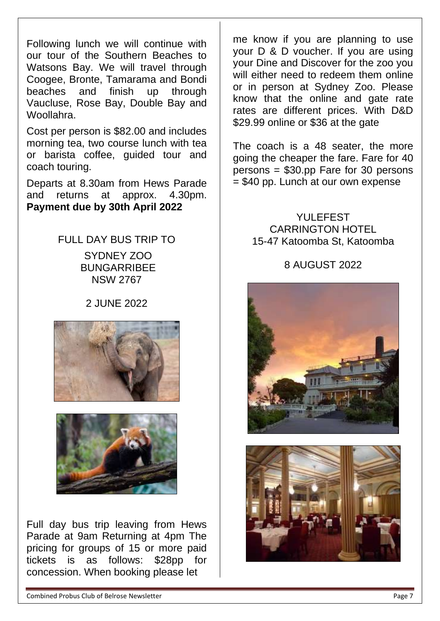Following lunch we will continue with our tour of the Southern Beaches to Watsons Bay. We will travel through Coogee, Bronte, Tamarama and Bondi beaches and finish up through Vaucluse, Rose Bay, Double Bay and Woollahra.

Cost per person is \$82.00 and includes morning tea, two course lunch with tea or barista coffee, guided tour and coach touring.

Departs at 8.30am from Hews Parade and returns at approx. 4.30pm. **Payment due by 30th April 2022** 

> FULL DAY BUS TRIP TO SYDNEY ZOO BUNGARRIBEE NSW 2767

> > 2 JUNE 2022





Full day bus trip leaving from Hews Parade at 9am Returning at 4pm The pricing for groups of 15 or more paid tickets is as follows: \$28pp for concession. When booking please let

me know if you are planning to use your D & D voucher. If you are using your Dine and Discover for the zoo you will either need to redeem them online or in person at Sydney Zoo. Please know that the online and gate rate rates are different prices. With D&D \$29.99 online or \$36 at the gate

The coach is a 48 seater, the more going the cheaper the fare. Fare for 40 persons = \$30.pp Fare for 30 persons = \$40 pp. Lunch at our own expense

> YULEFEST CARRINGTON HOTEL 15-47 Katoomba St, Katoomba

## 8 AUGUST 2022



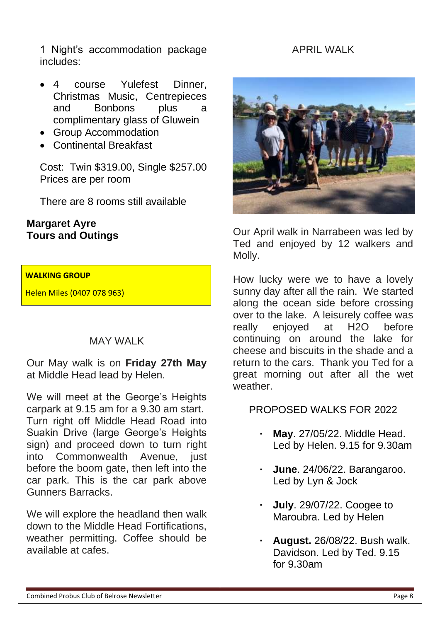1 Night's accommodation package includes:

- 4 course Yulefest Dinner. Christmas Music, Centrepieces and Bonbons plus a complimentary glass of Gluwein
- Group Accommodation
- Continental Breakfast

Cost: Twin \$319.00, Single \$257.00 Prices are per room

There are 8 rooms still available

### **Margaret Ayre Tours and Outings**

### **WALKING GROUP**

Helen Miles (0407 078 963)

# MAY WALK

Our May walk is on **Friday 27th May** at Middle Head lead by Helen.

We will meet at the George's Heights carpark at 9.15 am for a 9.30 am start. Turn right off Middle Head Road into Suakin Drive (large George's Heights sign) and proceed down to turn right into Commonwealth Avenue, just before the boom gate, then left into the car park. This is the car park above Gunners Barracks.

We will explore the headland then walk down to the Middle Head Fortifications, weather permitting. Coffee should be available at cafes.

# APRIL WALK



Our April walk in Narrabeen was led by Ted and enjoyed by 12 walkers and Molly.

How lucky were we to have a lovely sunny day after all the rain. We started along the ocean side before crossing over to the lake. A leisurely coffee was really enjoyed at H2O before continuing on around the lake for cheese and biscuits in the shade and a return to the cars. Thank you Ted for a great morning out after all the wet weather.

# PROPOSED WALKS FOR 2022

- **· May**. 27/05/22. Middle Head. Led by Helen. 9.15 for 9.30am
- **· June**. 24/06/22. Barangaroo. Led by Lyn & Jock
- **· July**. 29/07/22. Coogee to Maroubra. Led by Helen
- **· August.** 26/08/22. Bush walk. Davidson. Led by Ted. 9.15 for 9.30am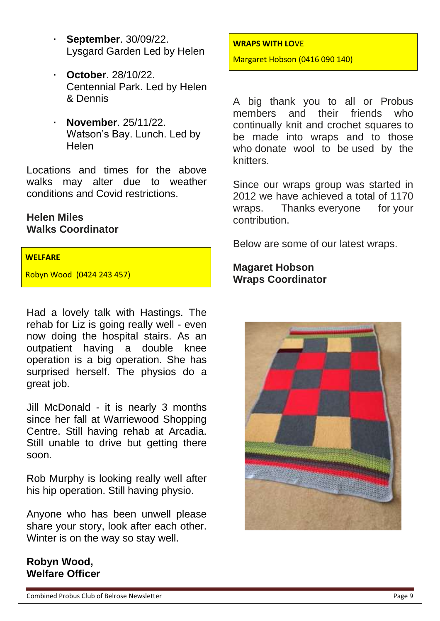- **· September**. 30/09/22. Lysgard Garden Led by Helen
- **· October**. 28/10/22. Centennial Park. Led by Helen & Dennis
- **· November**. 25/11/22. Watson's Bay. Lunch. Led by Helen

Locations and times for the above walks may alter due to weather conditions and Covid restrictions.

### **Helen Miles Walks Coordinator**

### **WELFARE**

Robyn Wood (0424 243 457)

Had a lovely talk with Hastings. The rehab for Liz is going really well - even now doing the hospital stairs. As an outpatient having a double knee operation is a big operation. She has surprised herself. The physios do a great job.

Jill McDonald - it is nearly 3 months since her fall at Warriewood Shopping Centre. Still having rehab at Arcadia. Still unable to drive but getting there soon.

Rob Murphy is looking really well after his hip operation. Still having physio.

Anyone who has been unwell please share your story, look after each other. Winter is on the way so stay well.

**Robyn Wood, Welfare Officer**

### **WRAPS WITH LO**VE

Margaret Hobson (0416 090 140)

A big thank you to all or Probus members and their friends who continually knit and crochet squares to be made into wraps and to those who donate wool to be used by the knitters.

Since our wraps group was started in 2012 we have achieved a total of 1170 wraps. Thanks everyone for your contribution.

Below are some of our latest wraps.

**Magaret Hobson Wraps Coordinator**